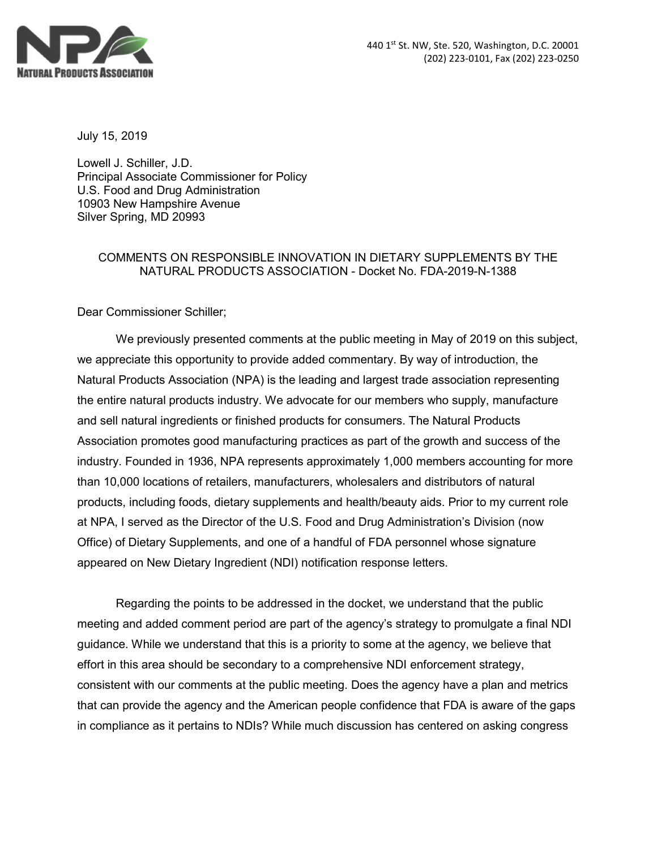

July 15, 2019

Lowell J. Schiller, J.D. Principal Associate Commissioner for Policy U.S. Food and Drug Administration 10903 New Hampshire Avenue Silver Spring, MD 20993

## COMMENTS ON RESPONSIBLE INNOVATION IN DIETARY SUPPLEMENTS BY THE NATURAL PRODUCTS ASSOCIATION - Docket No. FDA-2019-N-1388

Dear Commissioner Schiller;

We previously presented comments at the public meeting in May of 2019 on this subject, we appreciate this opportunity to provide added commentary. By way of introduction, the Natural Products Association (NPA) is the leading and largest trade association representing the entire natural products industry. We advocate for our members who supply, manufacture and sell natural ingredients or finished products for consumers. The Natural Products Association promotes good manufacturing practices as part of the growth and success of the industry. Founded in 1936, NPA represents approximately 1,000 members accounting for more than 10,000 locations of retailers, manufacturers, wholesalers and distributors of natural products, including foods, dietary supplements and health/beauty aids. Prior to my current role at NPA, I served as the Director of the U.S. Food and Drug Administration's Division (now Office) of Dietary Supplements, and one of a handful of FDA personnel whose signature appeared on New Dietary Ingredient (NDI) notification response letters.

Regarding the points to be addressed in the docket, we understand that the public meeting and added comment period are part of the agency's strategy to promulgate a final NDI guidance. While we understand that this is a priority to some at the agency, we believe that effort in this area should be secondary to a comprehensive NDI enforcement strategy, consistent with our comments at the public meeting. Does the agency have a plan and metrics that can provide the agency and the American people confidence that FDA is aware of the gaps in compliance as it pertains to NDIs? While much discussion has centered on asking congress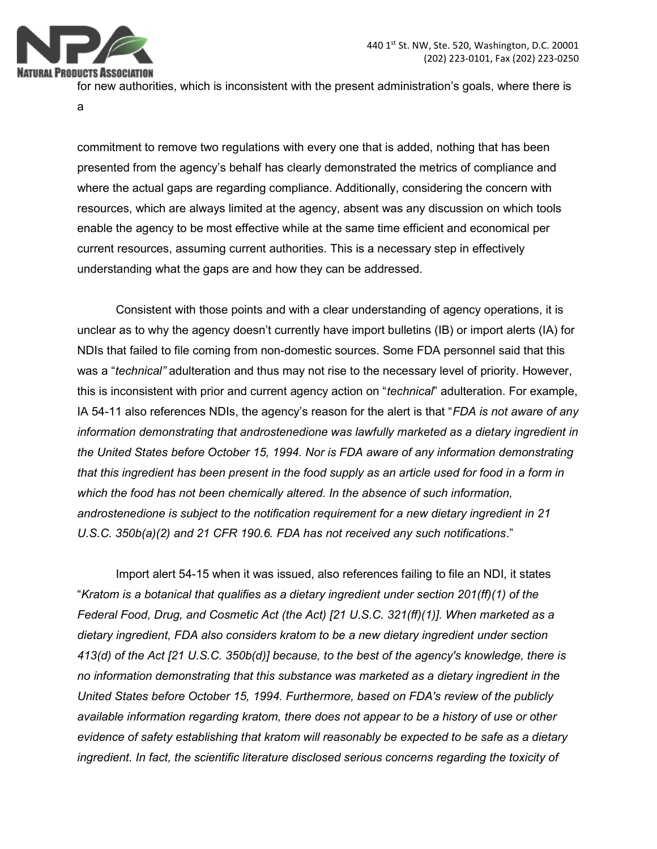

for new authorities, which is inconsistent with the present administration's goals, where there is

a

commitment to remove two regulations with every one that is added, nothing that has been presented from the agency's behalf has clearly demonstrated the metrics of compliance and where the actual gaps are regarding compliance. Additionally, considering the concern with resources, which are always limited at the agency, absent was any discussion on which tools enable the agency to be most effective while at the same time efficient and economical per current resources, assuming current authorities. This is a necessary step in effectively understanding what the gaps are and how they can be addressed.

Consistent with those points and with a clear understanding of agency operations, it is unclear as to why the agency doesn't currently have import bulletins (IB) or import alerts (IA) for NDIs that failed to file coming from non-domestic sources. Some FDA personnel said that this was a "technical" adulteration and thus may not rise to the necessary level of priority. However, this is inconsistent with prior and current agency action on "technical" adulteration. For example, IA 54-11 also references NDIs, the agency's reason for the alert is that "FDA is not aware of any information demonstrating that androstenedione was lawfully marketed as a dietary ingredient in the United States before October 15, 1994. Nor is FDA aware of any information demonstrating that this ingredient has been present in the food supply as an article used for food in a form in which the food has not been chemically altered. In the absence of such information, androstenedione is subject to the notification requirement for a new dietary ingredient in 21 U.S.C. 350b(a)(2) and 21 CFR 190.6. FDA has not received any such notifications."

Import alert 54-15 when it was issued, also references failing to file an NDI, it states "Kratom is a botanical that qualifies as a dietary ingredient under section  $201(ff)(1)$  of the Federal Food, Drug, and Cosmetic Act (the Act) [21 U.S.C. 321(ff)(1)]. When marketed as a dietary ingredient, FDA also considers kratom to be a new dietary ingredient under section 413(d) of the Act [21 U.S.C. 350b(d)] because, to the best of the agency's knowledge, there is no information demonstrating that this substance was marketed as a dietary ingredient in the United States before October 15, 1994. Furthermore, based on FDA's review of the publicly available information regarding kratom, there does not appear to be a history of use or other evidence of safety establishing that kratom will reasonably be expected to be safe as a dietary ingredient. In fact, the scientific literature disclosed serious concerns regarding the toxicity of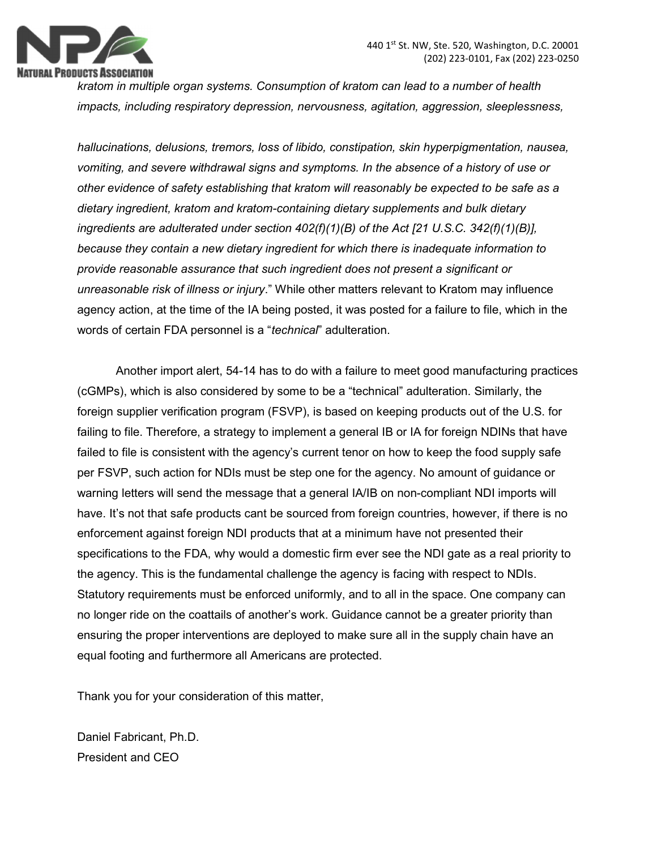

kratom in multiple organ systems. Consumption of kratom can lead to a number of health impacts, including respiratory depression, nervousness, agitation, aggression, sleeplessness,

hallucinations, delusions, tremors, loss of libido, constipation, skin hyperpigmentation, nausea, vomiting, and severe withdrawal signs and symptoms. In the absence of a history of use or other evidence of safety establishing that kratom will reasonably be expected to be safe as a dietary ingredient, kratom and kratom-containing dietary supplements and bulk dietary ingredients are adulterated under section  $402(f)(1)(B)$  of the Act [21 U.S.C. 342(f)(1)(B)], because they contain a new dietary ingredient for which there is inadequate information to provide reasonable assurance that such ingredient does not present a significant or unreasonable risk of illness or injury." While other matters relevant to Kratom may influence agency action, at the time of the IA being posted, it was posted for a failure to file, which in the words of certain FDA personnel is a "technical" adulteration.

Another import alert, 54-14 has to do with a failure to meet good manufacturing practices (cGMPs), which is also considered by some to be a "technical" adulteration. Similarly, the foreign supplier verification program (FSVP), is based on keeping products out of the U.S. for failing to file. Therefore, a strategy to implement a general IB or IA for foreign NDINs that have failed to file is consistent with the agency's current tenor on how to keep the food supply safe per FSVP, such action for NDIs must be step one for the agency. No amount of guidance or warning letters will send the message that a general IA/IB on non-compliant NDI imports will have. It's not that safe products cant be sourced from foreign countries, however, if there is no enforcement against foreign NDI products that at a minimum have not presented their specifications to the FDA, why would a domestic firm ever see the NDI gate as a real priority to the agency. This is the fundamental challenge the agency is facing with respect to NDIs. Statutory requirements must be enforced uniformly, and to all in the space. One company can no longer ride on the coattails of another's work. Guidance cannot be a greater priority than ensuring the proper interventions are deployed to make sure all in the supply chain have an equal footing and furthermore all Americans are protected.

Thank you for your consideration of this matter,

Daniel Fabricant, Ph.D. President and CEO